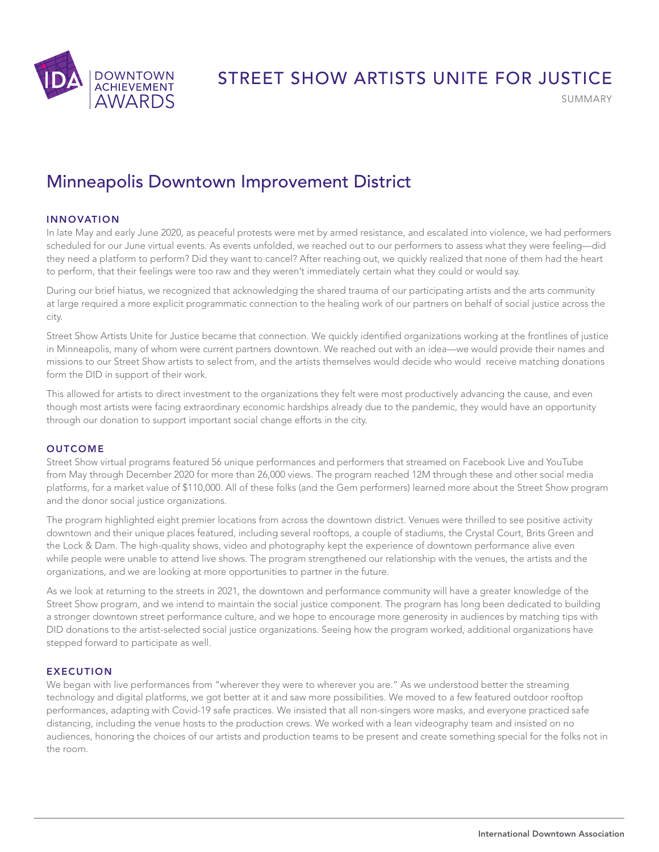

# STREET SHOW ARTISTS UNITE FOR JUSTICE

SUMMARY

# Minneapolis Downtown Improvement District

## INNOVATION

In late May and early June 2020, as peaceful protests were met by armed resistance, and escalated into violence, we had performers scheduled for our June virtual events. As events unfolded, we reached out to our performers to assess what they were feeling—did they need a platform to perform? Did they want to cancel? After reaching out, we quickly realized that none of them had the heart to perform, that their feelings were too raw and they weren't immediately certain what they could or would say.

During our brief hiatus, we recognized that acknowledging the shared trauma of our participating artists and the arts community at large required a more explicit programmatic connection to the healing work of our partners on behalf of social justice across the city.

Street Show Artists Unite for Justice became that connection. We quickly identified organizations working at the frontlines of justice in Minneapolis, many of whom were current partners downtown. We reached out with an idea—we would provide their names and missions to our Street Show artists to select from, and the artists themselves would decide who would receive matching donations form the DID in support of their work.

This allowed for artists to direct investment to the organizations they felt were most productively advancing the cause, and even though most artists were facing extraordinary economic hardships already due to the pandemic, they would have an opportunity through our donation to support important social change efforts in the city.

#### **OUTCOME**

Street Show virtual programs featured 56 unique performances and performers that streamed on Facebook Live and YouTube from May through December 2020 for more than 26,000 views. The program reached 12M through these and other social media platforms, for a market value of \$110,000. All of these folks (and the Gem performers) learned more about the Street Show program and the donor social justice organizations.

The program highlighted eight premier locations from across the downtown district. Venues were thrilled to see positive activity downtown and their unique places featured, including several rooftops, a couple of stadiums, the Crystal Court, Brits Green and the Lock & Dam. The high-quality shows, video and photography kept the experience of downtown performance alive even while people were unable to attend live shows. The program strengthened our relationship with the venues, the artists and the organizations, and we are looking at more opportunities to partner in the future.

As we look at returning to the streets in 2021, the downtown and performance community will have a greater knowledge of the Street Show program, and we intend to maintain the social justice component. The program has long been dedicated to building a stronger downtown street performance culture, and we hope to encourage more generosity in audiences by matching tips with DID donations to the artist-selected social justice organizations. Seeing how the program worked, additional organizations have stepped forward to participate as well.

## EXECUTION

We began with live performances from "wherever they were to wherever you are." As we understood better the streaming technology and digital platforms, we got better at it and saw more possibilities. We moved to a few featured outdoor rooftop performances, adapting with Covid-19 safe practices. We insisted that all non-singers wore masks, and everyone practiced safe distancing, including the venue hosts to the production crews. We worked with a lean videography team and insisted on no audiences, honoring the choices of our artists and production teams to be present and create something special for the folks not in the room.